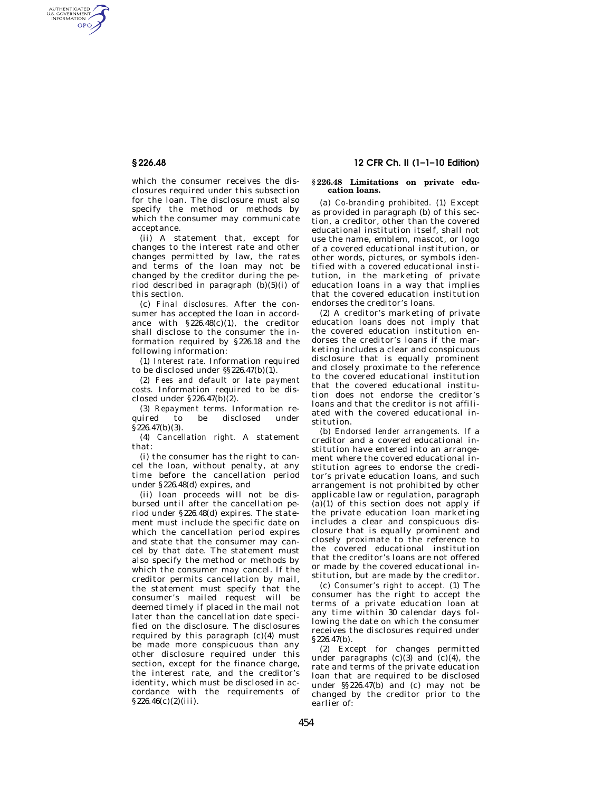AUTHENTICATED<br>U.S. GOVERNMENT<br>INFORMATION GPO

> which the consumer receives the disclosures required under this subsection for the loan. The disclosure must also specify the method or methods by which the consumer may communicate acceptance.

> (ii) A statement that, except for changes to the interest rate and other changes permitted by law, the rates and terms of the loan may not be changed by the creditor during the period described in paragraph (b)(5)(i) of this section.

> (c) *Final disclosures.* After the consumer has accepted the loan in accordance with  $\S 226.48(c)(1)$ , the creditor shall disclose to the consumer the information required by §226.18 and the following information:

> (1) *Interest rate.* Information required to be disclosed under §§226.47(b)(1).

> (2) *Fees and default or late payment costs.* Information required to be disclosed under  $§226.47(b)(2)$ .

> (3) *Repayment terms.* Information required to be disclosed under  $§$ 226.47(b)(3).

> (4) *Cancellation right.* A statement that:

> (i) the consumer has the right to cancel the loan, without penalty, at any time before the cancellation period under §226.48(d) expires, and

> (ii) loan proceeds will not be disbursed until after the cancellation period under §226.48(d) expires. The statement must include the specific date on which the cancellation period expires and state that the consumer may cancel by that date. The statement must also specify the method or methods by which the consumer may cancel. If the creditor permits cancellation by mail, the statement must specify that the consumer's mailed request will be deemed timely if placed in the mail not later than the cancellation date specified on the disclosure. The disclosures required by this paragraph  $(c)(4)$  must be made more conspicuous than any other disclosure required under this section, except for the finance charge, the interest rate, and the creditor's identity, which must be disclosed in accordance with the requirements of  $§226.46(c)(2)(iii)$ .

## **§ 226.48 12 CFR Ch. II (1–1–10 Edition)**

## **§ 226.48 Limitations on private education loans.**

(a) *Co-branding prohibited.* (1) Except as provided in paragraph (b) of this section, a creditor, other than the covered educational institution itself, shall not use the name, emblem, mascot, or logo of a covered educational institution, or other words, pictures, or symbols identified with a covered educational institution, in the marketing of private education loans in a way that implies that the covered education institution endorses the creditor's loans.

(2) A creditor's marketing of private education loans does not imply that the covered education institution endorses the creditor's loans if the marketing includes a clear and conspicuous disclosure that is equally prominent and closely proximate to the reference to the covered educational institution that the covered educational institution does not endorse the creditor's loans and that the creditor is not affiliated with the covered educational institution.

(b) *Endorsed lender arrangements.* If a creditor and a covered educational institution have entered into an arrangement where the covered educational institution agrees to endorse the creditor's private education loans, and such arrangement is not prohibited by other applicable law or regulation, paragraph  $(a)(1)$  of this section does not apply if the private education loan marketing includes a clear and conspicuous disclosure that is equally prominent and closely proximate to the reference to the covered educational institution that the creditor's loans are not offered or made by the covered educational institution, but are made by the creditor.

(c) *Consumer's right to accept.* (1) The consumer has the right to accept the terms of a private education loan at any time within 30 calendar days following the date on which the consumer receives the disclosures required under §226.47(b).

(2) Except for changes permitted under paragraphs  $(c)(3)$  and  $(c)(4)$ , the rate and terms of the private education loan that are required to be disclosed under §§226.47(b) and (c) may not be changed by the creditor prior to the earlier of: